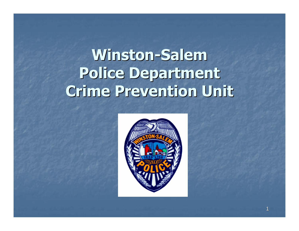# Winston-SalemPolice DepartmentCrime Prevention Unit

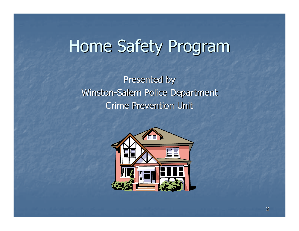# Home Safety Program

Presented by Winston-Salem Police DepartmentCrime Prevention Unit

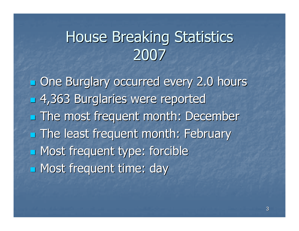#### House Breaking Statistics2007

**n** One Burglary occurred every 2.0 hours 4,363 Burglaries were reported**The most frequent month: December**  $\blacksquare$  **The least frequent month: February**  Most frequent type: forcibleMost frequent time: day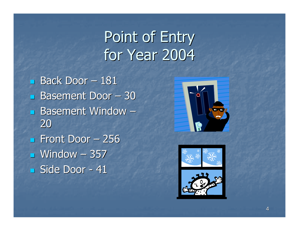## Point of Entryfor Year 2004

 $\mathbf{r}$ ■ Back Door – <sup>181</sup>  $\mathbf{r}$ **Basement Door** – <sup>30</sup>  $\mathbf{r}$ **Basement Window** – 20 $\mathbf{r}$ **Front Door** – $-256$  $\mathbf{r}$ ■ Window – <sup>357</sup>  $\mathbf{r}$  Side Door -- 41



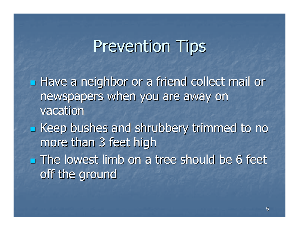**Have a neighbor or a friend collect mail or** newspapers when you are away on vacation**Example 1 Seep bushes and shrubbery trimmed to no** more than 3 feet high**The lowest limb on a tree should be 6 feet** off the ground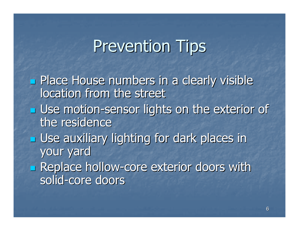**Place House numbers in a clearly visible** location from the street**<u>East Use motion-sensor lights on the exterior of</u>**  the residence**<u>E</u>** Use auxiliary lighting for dark places in your yard**Replace hollow-core exterior doors with** solid-core doors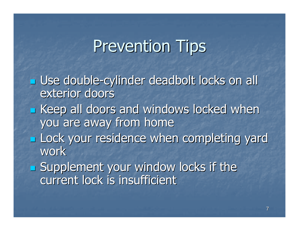**u** Use double-cylinder deadbolt locks on all exterior doors**Execute 2 and windows locked when** you are away from home**Lock your residence when completing yard** work**Supplement your window locks if the** 

current lock is insufficient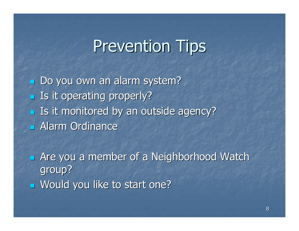$\mathbf{r}$  Do you own an alarm system? $\mathbf{r}$ **<u>Ease</u>** Is it operating properly?  $\blacksquare$  Is it monitored by an outside agency? $\mathbf{r}$ Alarm Ordinance

 $\mathbb{R}^2$ **Example 20 Are you a member of a Neighborhood Watch** group? $\mathbb{R}^2$ Would you like to start one?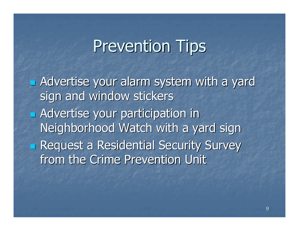Advertise your alarm system with a yard sign and window stickers**Example 12 Advertise your participation in** Neighborhood Watch with a yard sign**Request a Residential Security Survey** from the Crime Prevention Unit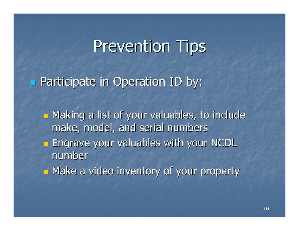Participate in Operation ID by:

 $\Box$ **<u>■ Making a list of your valuables</u>, to include** make, model, and serial numbers

 $\Box$ **Engrave your valuables with your NCDL** number

 $\Box$ Make a video inventory of your property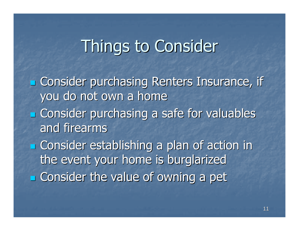## Things to Consider

**Example 2** Consider purchasing Renters Insurance, if you do not own a home**Ex Consider purchasing a safe for valuables** and firearms**<u>Example Consider</u>** establishing a plan of action in the event your home is burglarized**Ex Consider the value of owning a pet**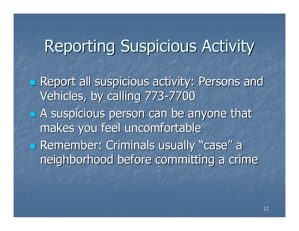## Reporting Suspicious Activity

**Report all suspicious activity: Persons and** Vehicles, by calling 773-7700**A suspicious person can be anyone that** makes you feel uncomfortable**Example Exercise** Criminals usually "case" a neighborhood before committing a crime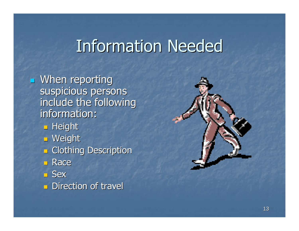## Information Needed

 $\mathbb{R}^2$ **Nhen reporting** suspicious persons include the following information:<mark>∍ Height</mark> <mark>∍ Weight</mark> **R** Clothing Description <mark>■ Race</mark> ■ Sex **<u>n</u>** Direction of travel

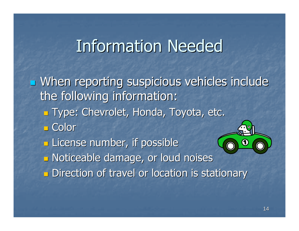#### Information Needed

**u** When reporting suspicious vehicles include the following information: $\mathbb{Z}$  Type: Chevrolet, Honda, Toyota, etc.  $\mathbb{R}^2$ <mark>∟ Col</mark>or  $\Box$  $\blacksquare$  License number, if possible  $\Box$  Noticeable damage, or loud noises  $\Box$ **<u>Examples of</u>** Direction of travel or location is stationary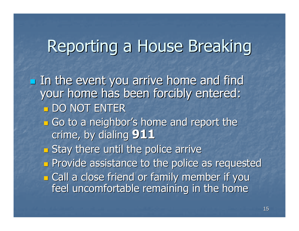# Reporting a House Breaking

In the event you arrive home and find your home has been forcibly entered: $\Box$ <mark>\_ DO NOT ENTER</mark>

- **n** Go to a neighb **<u>E</u>** Go to a neighbor's home and report the crime, by dialing 911
- <u>a Stav there until the r</u>  $\blacksquare$  Stay there until the police arrive
- $\mathbb{Z}$ **Exercise 25 Ferror Provide as Fequested**
- $\Box$ **<u>E</u>** Call a close friend or family member if you feel uncomfortable remaining in the home